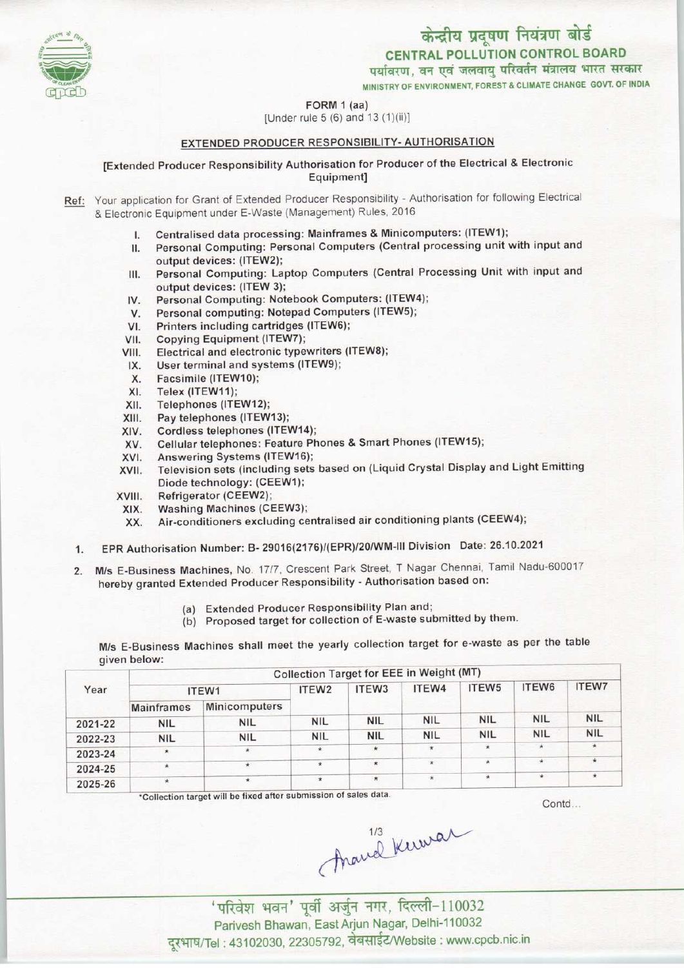केन्द्रीय प्रदूषण नियंत्रण बोर्ड

CENTRAL POLLUTION CONTROL BOARD<br>पर्यावरण, वन एवं जलवायु परिवर्तन मंत्रालय भारत सरकार

MINISTRY OF ENVIRONMENT, FOREST & CLIMATE CHANGE GOVT, OF INDIA

## FORM 1 (aa)



## EXTENDED PRODUCER RESPONSIBILITY- AUTHORISATION

[Extended Producer Responsibility Authorisation for Producer ofthe Electrical & Electronic Equipment]

- Ref: Your application for Grant of Extended Producer Responsibility Authorisation for following Electrical & Electronic Equipment under E-Waste (Management) Rules, 2016
	- Centralised data processing: Mainframes & Minicomputers: (ITEW1);  $\mathbf{L}$
	- Personal Computing: Personal Computers (Central processing unit with input and II. output devices: (ITEW2);
	- Personal Computing: Laptop Computers(Central Processing Unit with input and III. output devices: (ITEW 3);
	- IV. Personal Computing: Notebook Computers: (ITEW4);
	- V. Personal computing: Notepad Computers (ITEW5);
	- VI. Printers including cartridges (ITEW6);
	- VII. Copying Equipment (ITEW7);
	- VIII. Electrical and electronic typewriters(ITEW8);
	- IX. User terminal and systems (ITEW9);
	- X. Facsimile (ITEW10);
	- XI. Telex (ITEW11);
	- XII. Telephones (ITEW12);
	- XIII. Pay telephones(ITEW13);
	- XIV. Cordless telephones (ITEW14);
	- XV. Cellular telephones: Feature Phones & Smart Phones (ITEW15);
	- XVI. Answering Systems (ITEW16);
	- XVII. Television sets (including sets based on (Liquid Crystal Display and Light Emitting Diode technology: (CEEW1);
	- XVIII. Refrigerator (CEEW2);
	- XIX. Washing Machines(CEEW3);
	- XX. Air-conditioners excluding centralised air conditioning plants(CEEW4);
	- 1.EPR Authorisation Number: B- 29016(2176)/(EPR)/20/WM-lll Division Date: 26.10.2021
	- 2. M/s E-Business Machines, No. 17/7, Crescent Park Street, T Nagar Chennai, Tamil Nadu-600017 hereby granted Extended Producer Responsibility - Authorisation based on:
		- (a) Extended Producer Responsibility Plan and;
		- (b) Proposed target for collection of E-waste submitted by them.

M/s E-Business Machines shall meet the yearly collection target for e-waste as per the table given below:

| Year    | Collection Target for EEE in Weight (MT) |               |                   |                   |            |            |            |              |  |
|---------|------------------------------------------|---------------|-------------------|-------------------|------------|------------|------------|--------------|--|
|         | ITEW1                                    |               | ITEW <sub>2</sub> | ITEW <sub>3</sub> | ITEW4      | ITEW5      | ITEW6      | <b>ITEW7</b> |  |
|         | <b>Mainframes</b>                        | Minicomputers |                   |                   |            |            |            |              |  |
| 2021-22 | <b>NIL</b>                               | <b>NIL</b>    | <b>NIL</b>        | <b>NIL</b>        | <b>NIL</b> | <b>NIL</b> | <b>NIL</b> | <b>NIL</b>   |  |
| 2022-23 | <b>NIL</b>                               | <b>NIL</b>    | <b>NIL</b>        | <b>NIL</b>        | <b>NIL</b> | <b>NIL</b> | <b>NIL</b> | <b>NIL</b>   |  |
| 2023-24 | $\star$                                  | $^{\star}$    | $\star$           | *                 | $\star$    | $\star$    | $\star$    |              |  |
| 2024-25 | $\star$                                  | ×             | $\star$           | $\star$           | $\star$    | $\star$    | $\star$    | $\star$      |  |
| 2025-26 | $\star$                                  | $\star$       | $\star$           | $\star$           | $\star$    | $\star$    | $\star$    | $\star$      |  |

\*Collection target will be fixed after submission of sales data.

Contd...

(married Kurra)

Parivesh Bhawan, East Arjun Nagar, Delhi-110032 दूरभाष/Tel: 43102030, 22305792, वेबसाईट/Website : www.cpcb.nic.in

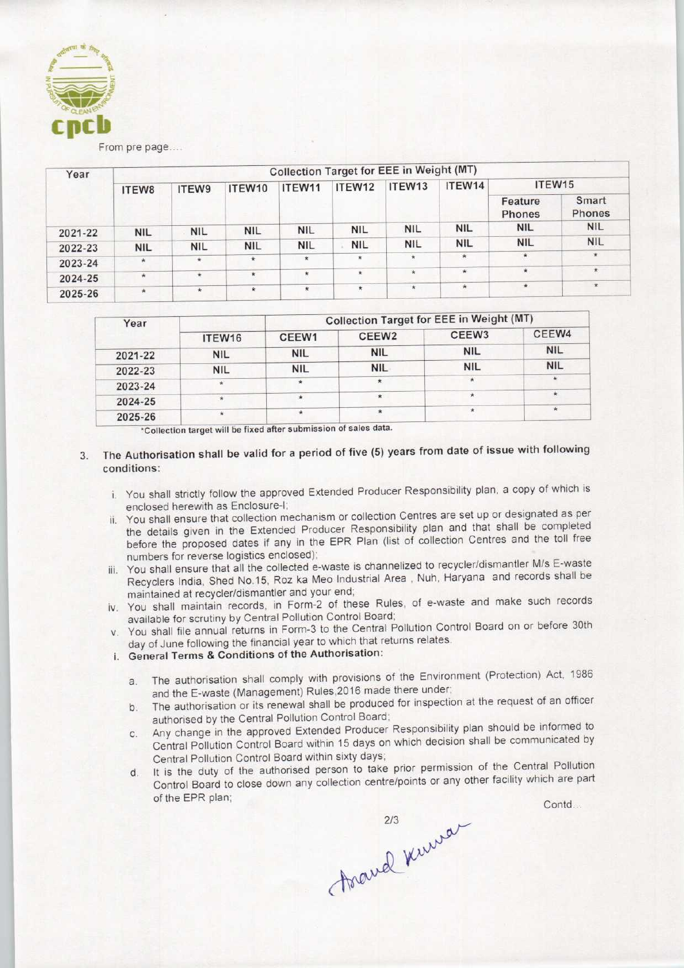

From pre page....

| Year    | Collection Target for EEE in Weight (MT) |            |            |            |            |            |            |                   |                        |  |  |
|---------|------------------------------------------|------------|------------|------------|------------|------------|------------|-------------------|------------------------|--|--|
|         | ITEW8                                    | ITEW9      | ITEW10     | ITEW11     | ITEW12     | ITEW13     | ITEW14     | ITEW15            |                        |  |  |
|         |                                          |            |            |            |            |            |            | Feature<br>Phones | Smart<br><b>Phones</b> |  |  |
| 2021-22 | <b>NIL</b>                               | <b>NIL</b> | <b>NIL</b> | <b>NIL</b> | <b>NIL</b> | <b>NIL</b> | <b>NIL</b> | <b>NIL</b>        | <b>NIL</b>             |  |  |
| 2022-23 | <b>NIL</b>                               | <b>NIL</b> | <b>NIL</b> | <b>NIL</b> | <b>NIL</b> | <b>NIL</b> | <b>NIL</b> | <b>NIL</b>        | <b>NIL</b>             |  |  |
| 2023-24 | $\star$                                  | $\star$    | $\star$    | $\star$    | $\star$    | $\star$    | $\star$    | $\star$           | $\star$                |  |  |
| 2024-25 | $\star$                                  | $\star$    | $^{\star}$ | $\star$    | $\star$    | $\star$    | $\star$    | $\star$           | $\star$                |  |  |
| 2025-26 | $\star$                                  | $\star$    | $\star$    | $\star$    | $\star$    | $\star$    | $\star$    | $\star$           | $\star$                |  |  |

| Year                                        |                                                                                                                                                                                                                                                                                                                                                                                       |                            | <b>Collection Target for EEE in Weight (MT)</b>                                                                                                      |                                                                                                                                                                                                                                                                                                                                                                                                                                                                                                                                                                                                                                                                                                                                                                                                                                                                                                                                                                                                                                                                                                                                                                                                                                                                                                                                                                                                                                                                                                            |            |  |
|---------------------------------------------|---------------------------------------------------------------------------------------------------------------------------------------------------------------------------------------------------------------------------------------------------------------------------------------------------------------------------------------------------------------------------------------|----------------------------|------------------------------------------------------------------------------------------------------------------------------------------------------|------------------------------------------------------------------------------------------------------------------------------------------------------------------------------------------------------------------------------------------------------------------------------------------------------------------------------------------------------------------------------------------------------------------------------------------------------------------------------------------------------------------------------------------------------------------------------------------------------------------------------------------------------------------------------------------------------------------------------------------------------------------------------------------------------------------------------------------------------------------------------------------------------------------------------------------------------------------------------------------------------------------------------------------------------------------------------------------------------------------------------------------------------------------------------------------------------------------------------------------------------------------------------------------------------------------------------------------------------------------------------------------------------------------------------------------------------------------------------------------------------------|------------|--|
|                                             | ITEW16                                                                                                                                                                                                                                                                                                                                                                                | CEEW <sub>2</sub><br>CEEW1 |                                                                                                                                                      | CEEW3                                                                                                                                                                                                                                                                                                                                                                                                                                                                                                                                                                                                                                                                                                                                                                                                                                                                                                                                                                                                                                                                                                                                                                                                                                                                                                                                                                                                                                                                                                      | CEEW4      |  |
| 2021-22                                     | <b>NIL</b>                                                                                                                                                                                                                                                                                                                                                                            | <b>NIL</b>                 | <b>NIL</b>                                                                                                                                           | <b>NIL</b>                                                                                                                                                                                                                                                                                                                                                                                                                                                                                                                                                                                                                                                                                                                                                                                                                                                                                                                                                                                                                                                                                                                                                                                                                                                                                                                                                                                                                                                                                                 | <b>NIL</b> |  |
| 2022-23                                     | <b>NIL</b>                                                                                                                                                                                                                                                                                                                                                                            | <b>NIL</b>                 | <b>NIL</b>                                                                                                                                           | <b>NIL</b>                                                                                                                                                                                                                                                                                                                                                                                                                                                                                                                                                                                                                                                                                                                                                                                                                                                                                                                                                                                                                                                                                                                                                                                                                                                                                                                                                                                                                                                                                                 | <b>NIL</b> |  |
| 2023-24                                     | *                                                                                                                                                                                                                                                                                                                                                                                     | $\star$                    | $\star$                                                                                                                                              | $\star$                                                                                                                                                                                                                                                                                                                                                                                                                                                                                                                                                                                                                                                                                                                                                                                                                                                                                                                                                                                                                                                                                                                                                                                                                                                                                                                                                                                                                                                                                                    | $\star$    |  |
| 2024-25                                     | ×                                                                                                                                                                                                                                                                                                                                                                                     | $\star$                    | $\star$                                                                                                                                              | $\hat{\mathbf{x}}$                                                                                                                                                                                                                                                                                                                                                                                                                                                                                                                                                                                                                                                                                                                                                                                                                                                                                                                                                                                                                                                                                                                                                                                                                                                                                                                                                                                                                                                                                         | $\star$    |  |
| 2025-26                                     | ŵ.                                                                                                                                                                                                                                                                                                                                                                                    | $\star$                    | $\star$                                                                                                                                              | $\star$                                                                                                                                                                                                                                                                                                                                                                                                                                                                                                                                                                                                                                                                                                                                                                                                                                                                                                                                                                                                                                                                                                                                                                                                                                                                                                                                                                                                                                                                                                    | $\star$    |  |
| conditions:<br>III.<br>a.<br>b.<br>C.<br>d. | enclosed herewith as Enclosure-I;<br>numbers for reverse logistics enclosed);<br>maintained at recycler/dismantler and your end;<br>available for scrutiny by Central Pollution Control Board;<br>i. General Terms & Conditions of the Authorisation:<br>authorised by the Central Pollution Control Board;<br>Central Pollution Control Board within sixty days;<br>of the EPR plan; |                            | day of June following the financial year to which that returns relates.<br>and the E-waste (Management) Rules, 2016 made there under;<br>Asand Kurra | The Authorisation shall be valid for a period of five (5) years from date of issue with following<br>i. You shall strictly follow the approved Extended Producer Responsibility plan, a copy of which is<br>ii. You shall ensure that collection mechanism or collection Centres are set up or designated as per<br>the details given in the Extended Producer Responsibility plan and that shall be completed<br>before the proposed dates if any in the EPR Plan (list of collection Centres and the toll free<br>You shall ensure that all the collected e-waste is channelized to recycler/dismantler M/s E-waste<br>Recyclers India, Shed No.15, Roz ka Meo Industrial Area, Nuh, Haryana and records shall be<br>iv. You shall maintain records, in Form-2 of these Rules, of e-waste and make such records<br>v. You shall file annual returns in Form-3 to the Central Pollution Control Board on or before 30th<br>The authorisation shall comply with provisions of the Environment (Protection) Act, 1986<br>The authorisation or its renewal shall be produced for inspection at the request of an officer<br>Any change in the approved Extended Producer Responsibility plan should be informed to<br>Central Pollution Control Board within 15 days on which decision shall be communicated by<br>It is the duty of the authorised person to take prior permission of the Central Pollution<br>Control Board to close down any collection centre/points or any other facility which are par | Contd      |  |

# 3. The Authorisation shall be valid for a period of five (5) years from date of issue with following conditions:

- i. You shall strictly follow the approved Extended Producer Responsibility plan, a copy of which is enclosed herewith as Enclosure-I;
- ii. You shall ensure that collection mechanism or collection Centres are set up or designated as per the details given in the Extended Producer Responsibility plan and that shall be completed before the proposed dates if any in the EPR Plan (list of collection Centres and the toll free numbers for reverse logistics enclosed);
- iii. You shall ensure that all the collected e-waste is channelized to recycler/dismantler M/s E-waste Recyclers India, Shed No. 15, Roz ka Meo Industrial Area , Nuh, Haryana and records shall be maintained at recycler/dismantler and your end;
- iv. You shall maintain records, in Form-2 of these Rules, of e-waste and make such records available for scrutiny by Central Pollution Control Board;
- v. You shall file annual returns in Form-3 to the Central Pollution Control Board on or before 30th day of June following the financial year to which that returns relates.
- i. General Terms & Conditions of the Authorisation:
	- a. The authorisation shall comply with provisions of the Environment (Protection) Act, 1986 and the E-waste (Management) Rules,2016 made there under;
	- b.The authorisation or its renewal shall be produced for inspection at the request of an officer authorised by the Central Pollution Control Board;
	- c.Any change in the approved Extended Producer Responsibility plan should be informed to Central Pollution Control Board within 15 days on which decision shall be communicated by Central Pollution Control Board within sixty days;
	- d. It is the duty of the authorised person to take prior permission of the Central Pollution Control Board to close down any collection centre/points or any other facility which are part

Foravel Kurra